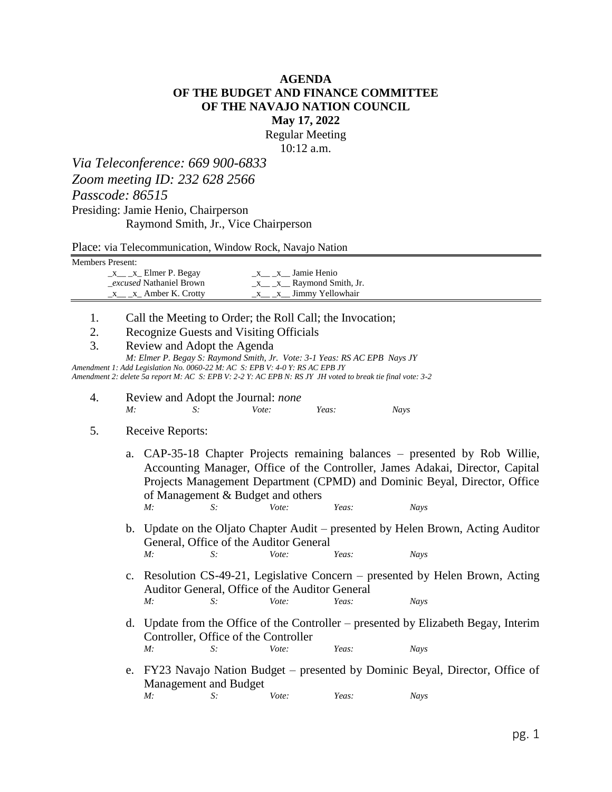## **AGENDA OF THE BUDGET AND FINANCE COMMITTEE OF THE NAVAJO NATION COUNCIL May 17, 2022**

Regular Meeting 10:12 a.m.

*Via Teleconference: 669 900-6833 Zoom meeting ID: 232 628 2566 Passcode: 86515* Presiding: Jamie Henio, Chairperson

Raymond Smith, Jr., Vice Chairperson

Place: via Telecommunication, Window Rock, Navajo Nation

Members Present:

| $x_1 x_2$ Elmer P. Begay                | x x Jamie Henio             |
|-----------------------------------------|-----------------------------|
| <i>excused</i> Nathaniel Brown          | $x \, x$ Raymond Smith, Jr. |
| $x_1, x_2, \ldots, x_n$ Amber K. Crotty | x x Jimmy Yellowhair        |

- 1. Call the Meeting to Order; the Roll Call; the Invocation;
- 2. Recognize Guests and Visiting Officials
- 3. Review and Adopt the Agenda

*M: Elmer P. Begay S: Raymond Smith, Jr. Vote: 3-1 Yeas: RS AC EPB Nays JY*

*Amendment 1: Add Legislation No. 0060-22 M: AC S: EPB V: 4-0 Y: RS AC EPB JY Amendment 2: delete 5a report M: AC S: EPB V: 2-2 Y: AC EPB N: RS JY JH voted to break tie final vote: 3-2*

4. Review and Adopt the Journal: *none M: S: Vote: Yeas: Nays*

## 5. Receive Reports:

- a. CAP-35-18 Chapter Projects remaining balances presented by Rob Willie, Accounting Manager, Office of the Controller, James Adakai, Director, Capital Projects Management Department (CPMD) and Dominic Beyal, Director, Office of Management & Budget and others *M: S: Vote: Yeas: Nays*
- b. Update on the Oljato Chapter Audit presented by Helen Brown, Acting Auditor General, Office of the Auditor General *M: S: Vote: Yeas: Nays*
- c. Resolution CS-49-21, Legislative Concern presented by Helen Brown, Acting Auditor General, Office of the Auditor General *M: S: Vote: Yeas: Nays*
- d. Update from the Office of the Controller presented by Elizabeth Begay, Interim Controller, Office of the Controller  $M:$ *M: S: Vote: Yeas: Nays*
- e. FY23 Navajo Nation Budget presented by Dominic Beyal, Director, Office of Management and Budget *M: S: Vote: Yeas: Nays*